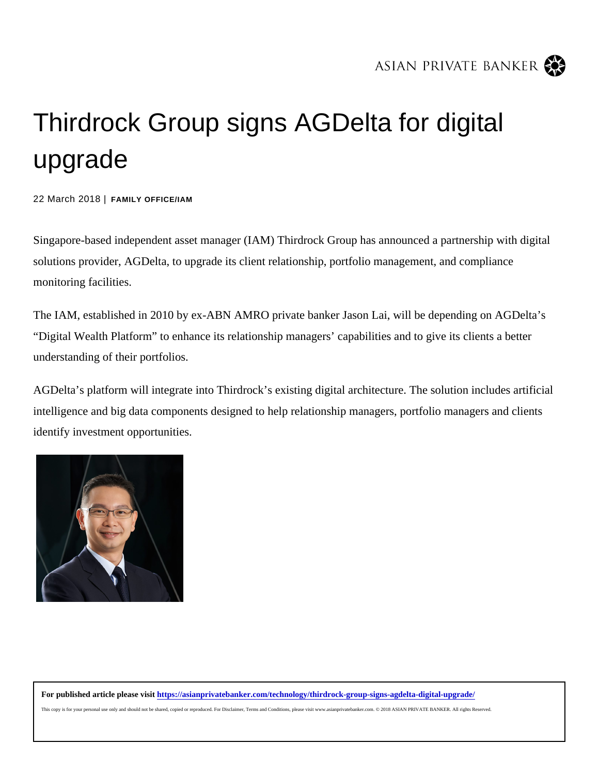## Thirdrock Group signs AGDelta for digital upgrade

22 March 2018 | FAMILY OFFICE/IAM

Singapore-based independent asset manager (IAM) Thirdrock Group has announced a partnership with digital solutions provider, AGDelta, to upgrade its client relationship, portfolio management, and compliance monitoring facilities.

The IAM, established in 2010 by ex-ABN AMRO private banker Jason Lai, will be depending on AGDelta's "Digital Wealth Platform" to enhance its relationship managers' capabilities and to give its clients a better understanding of their portfolios.

AGDelta's platform will integrate into Thirdrock's existing digital architecture. The solution includes artificial intelligence and big data components designed to help relationship managers, portfolio managers and clients identify investment opportunities.

For published article please visithttps://asianprivatebanker.com/technology/thirdrock-group-signs-agdelta-digital-upgrade/

This copy is for your personal use only and should not be shared, copied or reproduced. For Disclaimer, Terms and Conditions, please visit www.asianprivatebanker.com. © 2018 ASIAN PRIVATE BANKER. All rights Reserved.